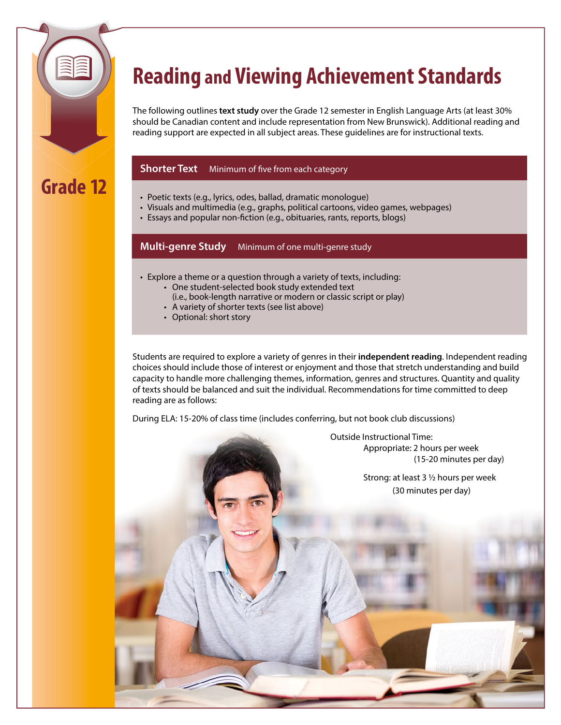

# **Reading and Viewing Achievement Standards**

The following outlines **text study** over the Grade 12 semester in English Language Arts (at least 30% should be Canadian content and include representation from New Brunswick). Additional reading and reading support are expected in all subject areas. These guidelines are for instructional texts.

#### **Shorter Text** Minimum of five from each category

- Poetic texts (e.g., lyrics, odes, ballad, dramatic monologue)
- • Visuals and multimedia (e.g., graphs, political cartoons, video games, webpages)
- Essays and popular non-fiction (e.g., obituaries, rants, reports, blogs)

**Multi-genre Study** Minimum of one multi-genre study

- Explore a theme or a question through a variety of texts, including:
	- • One student-selected book study extended text
	- (i.e., book-length narrative or modern or classic script or play)
	- A variety of shorter texts (see list above)
	- Optional: short story

Students are required to explore a variety of genres in their **independent reading**. Independent reading choices should include those of interest or enjoyment and those that stretch understanding and build capacity to handle more challenging themes, information, genres and structures. Quantity and quality of texts should be balanced and suit the individual. Recommendations for time committed to deep reading are as follows:

During ELA: 15-20% of class time (includes conferring, but not book club discussions)

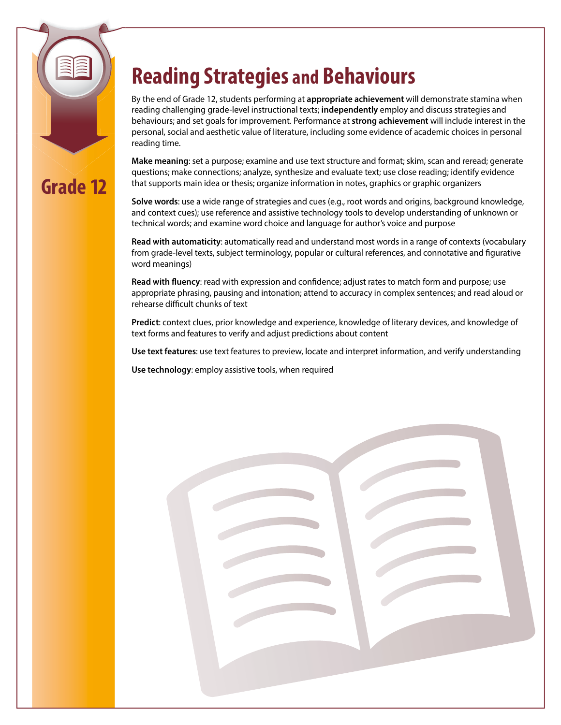# **Grade 12**

# **Reading Strategies and Behaviours**

By the end of Grade 12, students performing at **appropriate achievement** will demonstrate stamina when reading challenging grade-level instructional texts; **independently** employ and discuss strategies and behaviours; and set goals for improvement. Performance at **strong achievement** will include interest in the personal, social and aesthetic value of literature, including some evidence of academic choices in personal reading time.

**Make meaning**: set a purpose; examine and use text structure and format; skim, scan and reread; generate questions; make connections; analyze, synthesize and evaluate text; use close reading; identify evidence that supports main idea or thesis; organize information in notes, graphics or graphic organizers

**Solve words**: use a wide range of strategies and cues (e.g., root words and origins, background knowledge, and context cues); use reference and assistive technology tools to develop understanding of unknown or technical words; and examine word choice and language for author's voice and purpose

**Read with automaticity**: automatically read and understand most words in a range of contexts (vocabulary from grade-level texts, subject terminology, popular or cultural references, and connotative and figurative word meanings)

**Read with fluency**: read with expression and confidence; adjust rates to match form and purpose; use appropriate phrasing, pausing and intonation; attend to accuracy in complex sentences; and read aloud or rehearse difficult chunks of text

**Predict**: context clues, prior knowledge and experience, knowledge of literary devices, and knowledge of text forms and features to verify and adjust predictions about content

**Use text features**: use text features to preview, locate and interpret information, and verify understanding

**Use technology**: employ assistive tools, when required

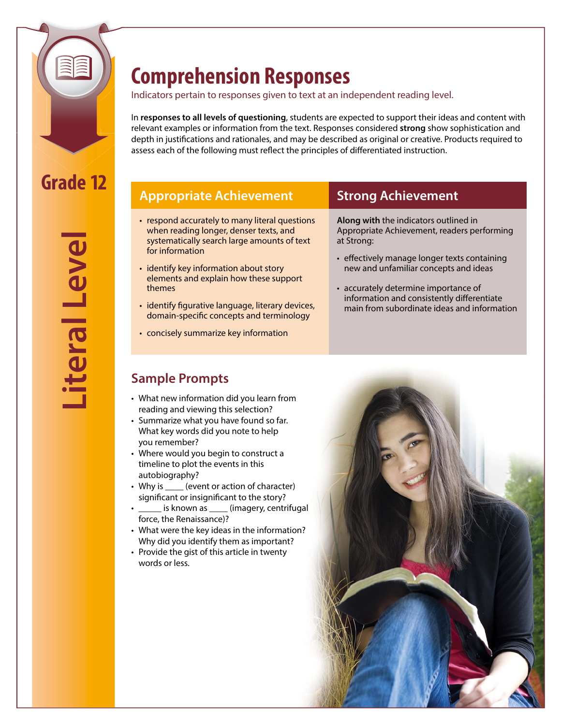

## **Comprehension Responses**

Indicators pertain to responses given to text at an independent reading level.

In **responses to all levels of questioning**, students are expected to support their ideas and content with relevant examples or information from the text. Responses considered **strong** show sophistication and depth in justifications and rationales, and may be described as original or creative. Products required to assess each of the following must reflect the principles of differentiated instruction.

## **Appropriate Achievement Strong Achievement**

- respond accurately to many literal questions when reading longer, denser texts, and systematically search large amounts of text for information
- identify key information about story elements and explain how these support themes
- identify figurative language, literary devices, domain-specific concepts and terminology
- concisely summarize key information

**Along with** the indicators outlined in Appropriate Achievement, readers performing at Strong:

- effectively manage longer texts containing new and unfamiliar concepts and ideas
- accurately determine importance of information and consistently differentiate main from subordinate ideas and information

## **Sample Prompts**

- What new information did you learn from reading and viewing this selection?
- Summarize what you have found so far. What key words did you note to help you remember?
- Where would you begin to construct a timeline to plot the events in this autobiography?
- Why is \_\_\_\_\_ (event or action of character) significant or insignificant to the story?
- \_ is known as \_\_\_\_ (imagery, centrifugal force, the Renaissance)?
- What were the key ideas in the information? Why did you identify them as important?
- Provide the gist of this article in twenty words or less.

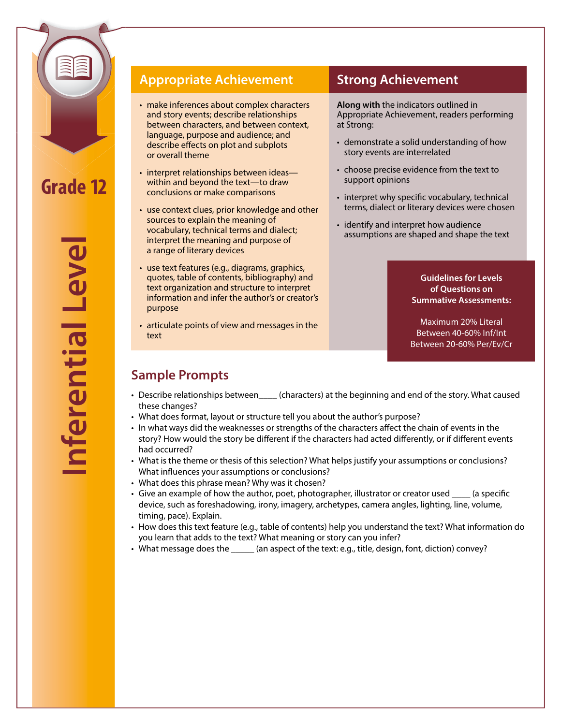

**Inferential Level** nferential Leve

#### **Appropriate Achievement Strong Achievement**

- make inferences about complex characters and story events; describe relationships between characters, and between context, language, purpose and audience; and describe effects on plot and subplots or overall theme
- interpret relationships between ideas— within and beyond the text—to draw conclusions or make comparisons
- use context clues, prior knowledge and other sources to explain the meaning of vocabulary, technical terms and dialect; interpret the meaning and purpose of a range of literary devices
- use text features (e.g., diagrams, graphics, quotes, table of contents, bibliography) and text organization and structure to interpret information and infer the author's or creator's purpose
- articulate points of view and messages in the text

**Along with** the indicators outlined in Appropriate Achievement, readers performing at Strong:

- demonstrate a solid understanding of how story events are interrelated
- choose precise evidence from the text to support opinions
- interpret why specific vocabulary, technical terms, dialect or literary devices were chosen
- identify and interpret how audience assumptions are shaped and shape the text

#### **Guidelines for Levels of Questions on Summative Assessments:**

Maximum 20% Literal Between 40-60% Inf/Int Between 20-60% Per/Ev/Cr

## **Sample Prompts**

- Describe relationships between\_\_\_\_ (characters) at the beginning and end of the story. What caused these changes?
- What does format, layout or structure tell you about the author's purpose?
- • In what ways did the weaknesses or strengths of the characters affect the chain of events in the story? How would the story be different if the characters had acted differently, or if different events had occurred?
- What is the theme or thesis of this selection? What helps justify your assumptions or conclusions? What influences your assumptions or conclusions?
- What does this phrase mean? Why was it chosen?
- • Give an example of how the author, poet, photographer, illustrator or creator used \_\_\_\_ (a specific device, such as foreshadowing, irony, imagery, archetypes, camera angles, lighting, line, volume, timing, pace). Explain.
- • How does this text feature (e.g., table of contents) help you understand the text? What information do you learn that adds to the text? What meaning or story can you infer?
- What message does the \_\_\_\_\_ (an aspect of the text: e.g., title, design, font, diction) convey?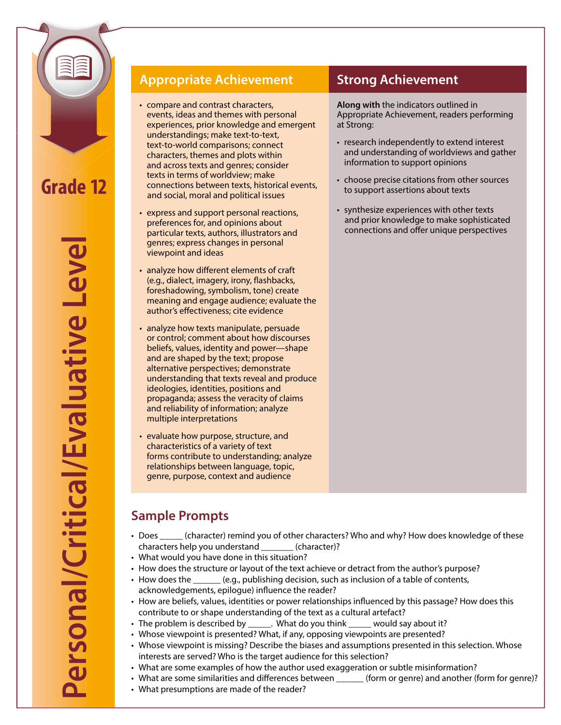

**Personal/Critical/Evaluative Level** Personal/Critical/Evaluative Leve

## **Appropriate Achievement Strong Achievement**

- compare and contrast characters, events, ideas and themes with personal experiences, prior knowledge and emergent understandings; make text-to-text, text-to-world comparisons; connect characters, themes and plots within and across texts and genres; consider texts in terms of worldview; make connections between texts, historical events, and social, moral and political issues
- express and support personal reactions, preferences for, and opinions about particular texts, authors, illustrators and genres; express changes in personal viewpoint and ideas
- analyze how different elements of craft (e.g., dialect, imagery, irony, flashbacks, foreshadowing, symbolism, tone) create meaning and engage audience; evaluate the author's effectiveness; cite evidence
- analyze how texts manipulate, persuade or control; comment about how discourses beliefs, values, identity and power—shape and are shaped by the text; propose alternative perspectives; demonstrate understanding that texts reveal and produce ideologies, identities, positions and propaganda; assess the veracity of claims and reliability of information; analyze multiple interpretations
- evaluate how purpose, structure, and characteristics of a variety of text forms contribute to understanding; analyze relationships between language, topic, genre, purpose, context and audience

**Along with** the indicators outlined in Appropriate Achievement, readers performing at Strong:

- research independently to extend interest and understanding of worldviews and gather information to support opinions
- choose precise citations from other sources to support assertions about texts
- synthesize experiences with other texts and prior knowledge to make sophisticated connections and offer unique perspectives

## **Sample Prompts**

- Does (character) remind you of other characters? Who and why? How does knowledge of these characters help you understand \_\_\_\_\_\_\_ (character)?
- What would you have done in this situation?
- How does the structure or layout of the text achieve or detract from the author's purpose?
- How does the \_\_\_\_\_\_ (e.g., publishing decision, such as inclusion of a table of contents, acknowledgements, epilogue) influence the reader?
- How are beliefs, values, identities or power relationships influenced by this passage? How does this contribute to or shape understanding of the text as a cultural artefact?
- The problem is described by \_\_\_\_\_\_. What do you think \_\_\_\_\_ would say about it?
- Whose viewpoint is presented? What, if any, opposing viewpoints are presented?
- • Whose viewpoint is missing? Describe the biases and assumptions presented in this selection. Whose interests are served? Who is the target audience for this selection?
- What are some examples of how the author used exaggeration or subtle misinformation?
- What are some similarities and differences between \_\_\_\_\_\_\_ (form or genre) and another (form for genre)?
- What presumptions are made of the reader?